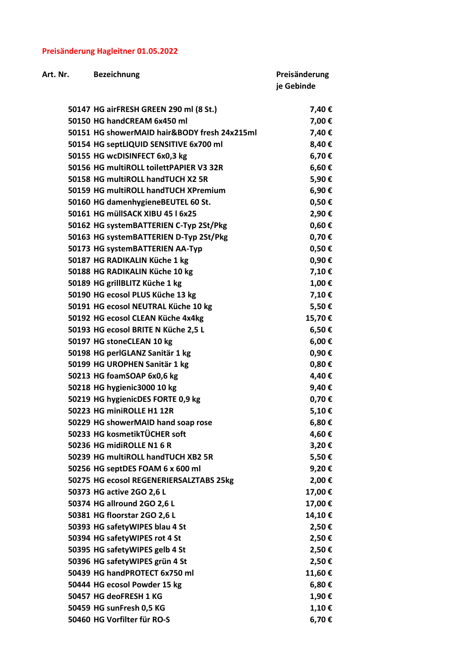## Preisänderung Hagleitner 01.05.2022

| Art. Nr. | <b>Bezeichnung</b>                           | Preisänderung |
|----------|----------------------------------------------|---------------|
|          |                                              | je Gebinde    |
|          |                                              |               |
|          | 50147 HG airFRESH GREEN 290 ml (8 St.)       | 7,40€         |
|          | 50150 HG handCREAM 6x450 ml                  | 7,00€         |
|          | 50151 HG showerMAID hair&BODY fresh 24x215ml | 7,40€         |
|          | 50154 HG septLIQUID SENSITIVE 6x700 ml       | 8,40€         |
|          | 50155 HG wcDISINFECT 6x0,3 kg                | 6,70€         |
|          | 50156 HG multiROLL toilettPAPIER V3 32R      | 6,60€         |
|          | 50158 HG multiROLL handTUCH X2 5R            | 5,90€         |
|          | 50159 HG multiROLL handTUCH XPremium         | 6,90€         |
|          | 50160 HG damenhygieneBEUTEL 60 St.           | $0,50 \in$    |
|          | 50161 HG müllSACK XIBU 45   6x25             | 2,90€         |
|          | 50162 HG systemBATTERIEN C-Typ 2St/Pkg       | $0,60 \in$    |
|          | 50163 HG systemBATTERIEN D-Typ 2St/Pkg       | 0,70€         |
|          | 50173 HG systemBATTERIEN AA-Typ              | $0,50 \in$    |
|          | 50187 HG RADIKALIN Küche 1 kg                | 0,90€         |
|          | 50188 HG RADIKALIN Küche 10 kg               | 7,10€         |
|          | 50189 HG grillBLITZ Küche 1 kg               | 1,00 €        |
|          | 50190 HG ecosol PLUS Küche 13 kg             | 7,10€         |
|          | 50191 HG ecosol NEUTRAL Küche 10 kg          | 5,50€         |
|          | 50192 HG ecosol CLEAN Küche 4x4kg            | 15,70€        |
|          | 50193 HG ecosol BRITE N Küche 2,5 L          | 6,50€         |
|          | 50197 HG stoneCLEAN 10 kg                    | 6,00€         |
|          | 50198 HG perIGLANZ Sanitär 1 kg              | 0,90€         |
|          | 50199 HG UROPHEN Sanitär 1 kg                | 0,80€         |
|          | 50213 HG foamSOAP 6x0,6 kg                   | 4,40€         |
|          | 50218 HG hygienic3000 10 kg                  | 9,40€         |
|          | 50219 HG hygienicDES FORTE 0,9 kg            | 0,70€         |
|          | 50223 HG miniROLLE H1 12R                    | 5,10€         |
|          | 50229 HG showerMAID hand soap rose           | 6,80€         |
|          | 50233 HG kosmetikTÜCHER soft                 | 4,60€         |
|          | 50236 HG midiROLLE N1 6 R                    | 3,20€         |
|          | 50239 HG multiROLL handTUCH XB2 5R           | 5,50€         |
|          | 50256 HG septDES FOAM 6 x 600 ml             | 9,20€         |
|          | 50275 HG ecosol REGENERIERSALZTABS 25kg      | 2,00€         |
|          | 50373 HG active 2GO 2,6 L                    | 17,00€        |
|          | 50374 HG allround 2GO 2,6 L                  | 17,00€        |
|          | 50381 HG floorstar 2GO 2,6 L                 | 14,10€        |
|          | 50393 HG safetyWIPES blau 4 St               | 2,50€         |
|          | 50394 HG safetyWIPES rot 4 St                | 2,50€         |
|          | 50395 HG safetyWIPES gelb 4 St               | 2,50€         |
|          | 50396 HG safetyWIPES grün 4 St               | 2,50€         |
|          | 50439 HG handPROTECT 6x750 ml                |               |
|          |                                              | 11,60€        |
|          | 50444 HG ecosol Powder 15 kg                 | 6,80€         |
|          | 50457 HG deoFRESH 1 KG                       | 1,90€         |
|          | 50459 HG sunFresh 0,5 KG                     | 1,10€         |
|          | 50460 HG Vorfilter für RO-S                  | 6,70€         |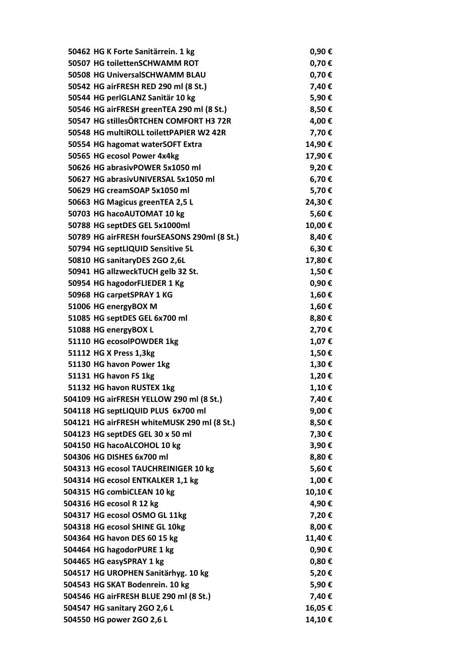| 50462 HG K Forte Sanitärrein. 1 kg          | 0,90€      |
|---------------------------------------------|------------|
| 50507 HG toilettenSCHWAMM ROT               | 0,70€      |
| 50508 HG UniversalSCHWAMM BLAU              | 0,70€      |
| 50542 HG airFRESH RED 290 ml (8 St.)        | 7,40€      |
| 50544 HG perlGLANZ Sanitär 10 kg            | 5,90€      |
| 50546 HG airFRESH greenTEA 290 ml (8 St.)   | 8,50€      |
| 50547 HG stillesÖRTCHEN COMFORT H3 72R      | 4,00€      |
| 50548 HG multiROLL toilettPAPIER W2 42R     | 7,70€      |
| 50554 HG hagomat waterSOFT Extra            | 14,90€     |
| 50565 HG ecosol Power 4x4kg                 | 17,90€     |
| 50626 HG abrasivPOWER 5x1050 ml             | 9,20€      |
| 50627 HG abrasivUNIVERSAL 5x1050 ml         | 6,70€      |
| 50629 HG creamSOAP 5x1050 ml                | 5,70€      |
| 50663 HG Magicus greenTEA 2,5 L             | 24,30€     |
| 50703 HG hacoAUTOMAT 10 kg                  | 5,60€      |
| 50788 HG septDES GEL 5x1000ml               | 10,00€     |
| 50789 HG airFRESH fourSEASONS 290ml (8 St.) | 8,40€      |
| 50794 HG septLIQUID Sensitive 5L            | 6,30€      |
| 50810 HG sanitaryDES 2GO 2,6L               | 17,80€     |
| 50941 HG allzweckTUCH gelb 32 St.           | 1,50€      |
| 50954 HG hagodorFLIEDER 1 Kg                | 0,90€      |
| 50968 HG carpetSPRAY 1 KG                   | 1,60€      |
| 51006 HG energyBOX M                        | 1,60€      |
| 51085 HG septDES GEL 6x700 ml               | 8,80€      |
| 51088 HG energyBOX L                        | 2,70€      |
| 51110 HG ecosolPOWDER 1kg                   | 1,07€      |
| 51112 HG X Press 1,3kg                      | 1,50€      |
| 51130 HG havon Power 1kg                    | 1,30€      |
| 51131 HG havon FS 1kg                       | 1,20€      |
| 51132 HG havon RUSTEX 1kg                   | 1,10€      |
| 504109 HG airFRESH YELLOW 290 ml (8 St.)    | 7,40€      |
| 504118 HG septLIQUID PLUS 6x700 ml          | 9,00€      |
| 504121 HG airFRESH whiteMUSK 290 ml (8 St.) | 8,50€      |
| 504123 HG septDES GEL 30 x 50 ml            | 7,30€      |
| 504150 HG hacoALCOHOL 10 kg                 | 3,90€      |
| 504306 HG DISHES 6x700 ml                   | 8,80€      |
| 504313 HG ecosol TAUCHREINIGER 10 kg        | 5,60€      |
| 504314 HG ecosol ENTKALKER 1,1 kg           | 1,00€      |
| 504315 HG combiCLEAN 10 kg                  | 10,10€     |
| 504316 HG ecosol R 12 kg                    | 4,90€      |
| 504317 HG ecosol OSMO GL 11kg               | 7,20€      |
| 504318 HG ecosol SHINE GL 10kg              | 8,00€      |
| 504364 HG havon DES 60 15 kg                | 11,40€     |
| 504464 HG hagodorPURE 1 kg                  | 0,90€      |
| 504465 HG easySPRAY 1 kg                    | $0,80 \in$ |
| 504517 HG UROPHEN Sanitärhyg. 10 kg         | 5,20€      |
| 504543 HG SKAT Bodenrein. 10 kg             | 5,90€      |
| 504546 HG airFRESH BLUE 290 ml (8 St.)      | 7,40€      |
| 504547 HG sanitary 2GO 2,6 L                | 16,05€     |
| 504550 HG power 2GO 2,6 L                   | 14,10€     |
|                                             |            |